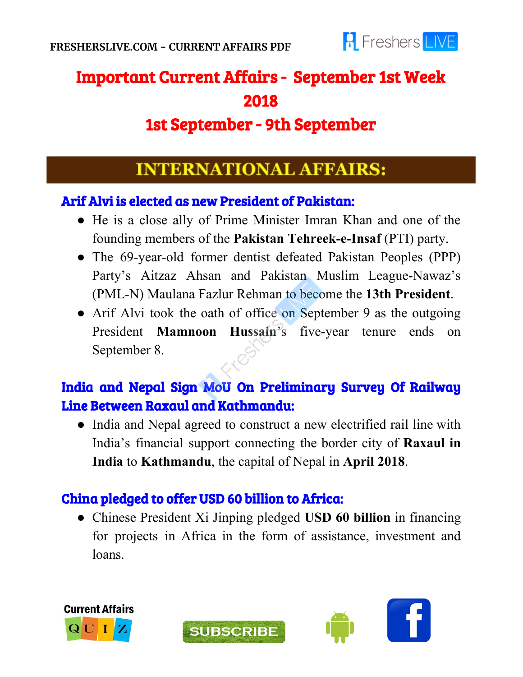

# Important Current Affairs - September 1st Week 2018 1st September - 9th September

# **INTERNATIONAL AFFAIRS:**

#### Arif Alvi is elected as new President of Pakistan:

- He is a close ally of Prime Minister Imran Khan and one of the founding members of the **Pakistan Tehreek-e-Insaf** ( PTI) party.
- The 69-year-old former dentist defeated Pakistan Peoples (PPP) Party's Aitzaz Ahsan and Pakistan Muslim League-Nawaz's (PML-N) Maulana Fazlur Rehman to become the **13th President**.
- Arif Alvi took the oath of office on September 9 as the outgoing President **Mamnoon Hussain**'s five-year tenure ends on September 8.

### India and Nepal Sign MoU On Preliminary Survey Of Railway Line Between Raxaul and Kathmandu:

● India and Nepal agreed to construct a new electrified rail line with India's financial support connecting the border city of **Raxaul in India** to **Kathmandu**, the capital of Nepal in **April 2018**.

### China pledged to offer USD 60 billion to Africa:

● Chinese President Xi Jinping pledged **USD 60 billion** in financing for projects in Africa in the form of assistance, investment and loans.



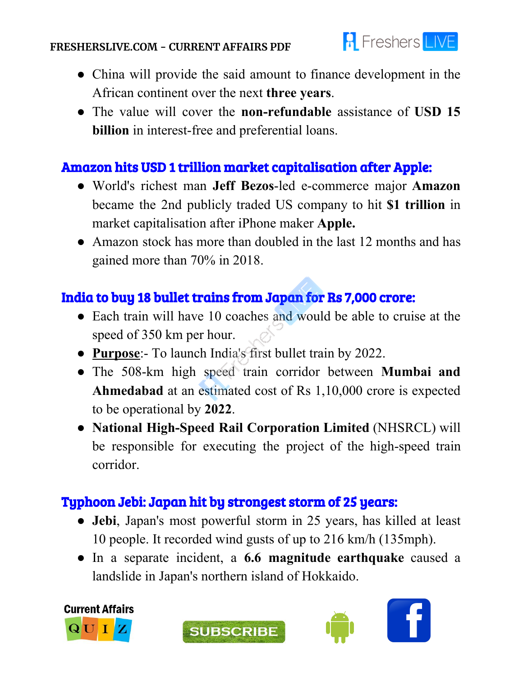

- China will provide the said amount to finance development in the African continent over the next **three years**.
- The value will cover the **non-refundable** assistance of **USD 15 billion** in interest-free and preferential loans.

#### Amazon hits USD 1 trillion market capitalisation after Apple:

- World's richest man **Jeff Bezos**-led e-commerce major **Amazon** became the 2nd publicly traded US company to hit **\$1 trillion** in market capitalisation after iPhone maker **Apple.**
- Amazon stock has more than doubled in the last 12 months and has gained more than 70% in 2018.

### India to buy 18 bullet trains from Japan for Rs 7,000 crore:

- Each train will have 10 coaches and would be able to cruise at the speed of 350 km per hour.
- **Purpose**:- To launch India's first bullet train by 2022.
- The 508-km high speed train corridor between **Mumbai and Ahmedabad** at an estimated cost of Rs 1,10,000 crore is expected to be operational by **2022**.
- **National High-Speed Rail Corporation Limited** (NHSRCL) will be responsible for executing the project of the high-speed train corridor.

#### Typhoon Jebi: Japan hit by strongest storm of 25 years:

- **Jebi**, Japan's most powerful storm in 25 years, has killed at least 10 people. It recorded wind gusts of up to 216 km/h (135mph).
- In a separate incident, a **6.6 magnitude earthquake** caused a landslide in Japan's northern island of Hokkaido.









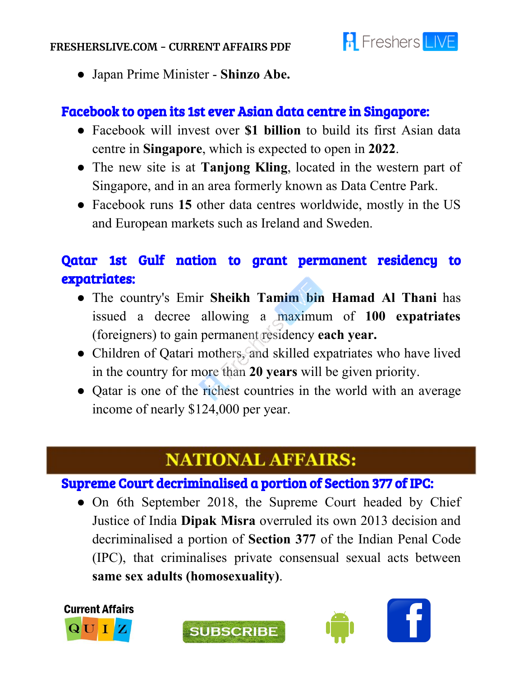

● Japan Prime Minister - **Shinzo Abe.**

#### Facebook to open its 1st ever Asian data centre in Singapore:

- Facebook will invest over **\$1 billion** to build its first Asian data centre in **Singapore**, which is expected to open in **2022**.
- The new site is at **Tanjong Kling**, located in the western part of Singapore, and in an area formerly known as Data Centre Park.
- Facebook runs 15 other data centres worldwide, mostly in the US and European markets such as Ireland and Sweden.

### Qatar 1st Gulf nation to grant permanent residency to expatriates:

- The country's Emir **Sheikh Tamim bin Hamad Al Thani** has issued a decree allowing a maximum of **100 expatriates** (foreigners) to gain permanent residency **each year.**
- Children of Qatari mothers, and skilled expatriates who have lived in the country for more than **20 years** will be given priority.
- Qatar is one of the richest countries in the world with an average income of nearly \$124,000 per year.

## **NATIONAL AFFAIRS:**

#### Supreme Court decriminalised a portion of Section 377 of IPC:

• On 6th September 2018, the Supreme Court headed by Chief Justice of India **Dipak Misra** overruled its own 2013 decision and decriminalised a portion of **Section 377** of the Indian Penal Code (IPC), that criminalises private consensual sexual acts between **same sex adults (homosexuality)**.



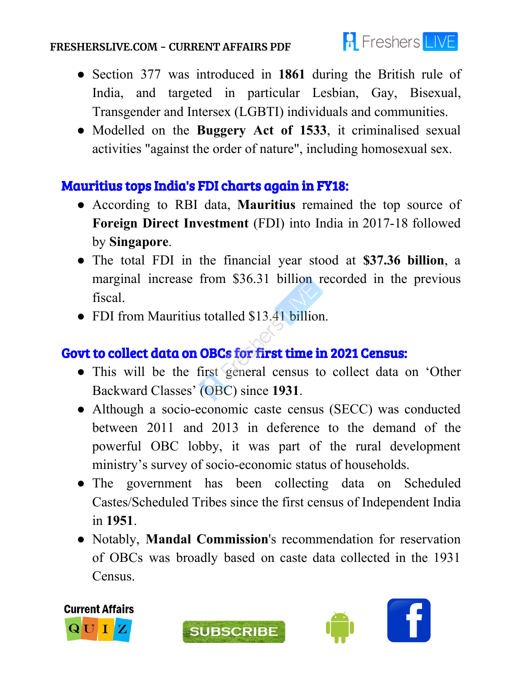

- Section 377 was introduced in **1861** during the British rule of India, and targeted in particular Lesbian, Gay, Bisexual, Transgender and Intersex (LGBTI) individuals and communities.
- Modelled on the **Buggery Act of 1533**, it criminalised sexual activities "against the order of nature", including homosexual sex.

#### Mauritius tops India's FDI charts again in FY18:

- According to RBI data, **Mauritius** remained the top source of **Foreign Direct Investment** (FDI) into India in 2017-18 followed by **Singapore**.
- The total FDI in the financial year stood at **\$37.36 billion**, a marginal increase from \$36.31 billion recorded in the previous fiscal.
- FDI from Mauritius totalled \$13.41 billion.

#### Govt to collect data on OBCs for first time in 2021 Census:

- This will be the first general census to collect data on 'Other Backward Classes' (OBC) since **1931**.
- Although a socio-economic caste census (SECC) was conducted between 2011 and 2013 in deference to the demand of the powerful OBC lobby, it was part of the rural development ministry's survey of socio-economic status of households.
- The government has been collecting data on Scheduled Castes/Scheduled Tribes since the first census of Independent India in **1951**.
- Notably, **Mandal Commission**'s recommendation for reservation of OBCs was broadly based on caste data collected in the 1931 Census.









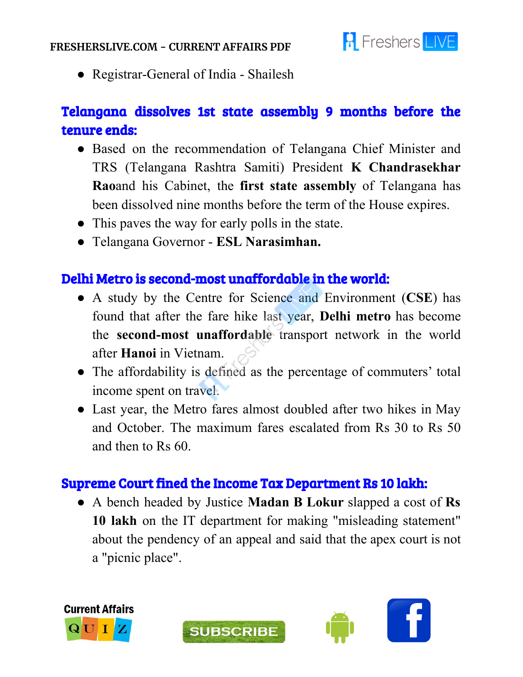

● Registrar-General of India - Shailesh

### Telangana dissolves 1st state assembly 9 months before the tenure ends:

- Based on the recommendation of Telangana Chief Minister and TRS (Telangana Rashtra Samiti) President **K Chandrasekhar Rao**and his Cabinet, the **first state assembly** of Telangana has been dissolved nine months before the term of the House expires.
- This paves the way for early polls in the state.
- Telangana Governor **ESL Narasimhan.**

#### Delhi Metro is second-most unaffordable in the world:

- A study by the Centre for Science and Environment (**CSE**) has found that after the fare hike last year, **Delhi metro** has become the **second-most unaffordable** transport network in the world after **Hanoi** in Vietnam.
- The affordability is defined as the percentage of commuters' total income spent on travel.
- Last year, the Metro fares almost doubled after two hikes in May and October. The maximum fares escalated from Rs 30 to Rs 50 and then to Rs 60.

#### Supreme Court fined the Income Tax Department Rs 10 lakh:

● A bench headed by Justice **Madan B Lokur** slapped a cost of **Rs 10 lakh** on the IT department for making "misleading statement" about the pendency of an appeal and said that the apex court is not a "picnic place".



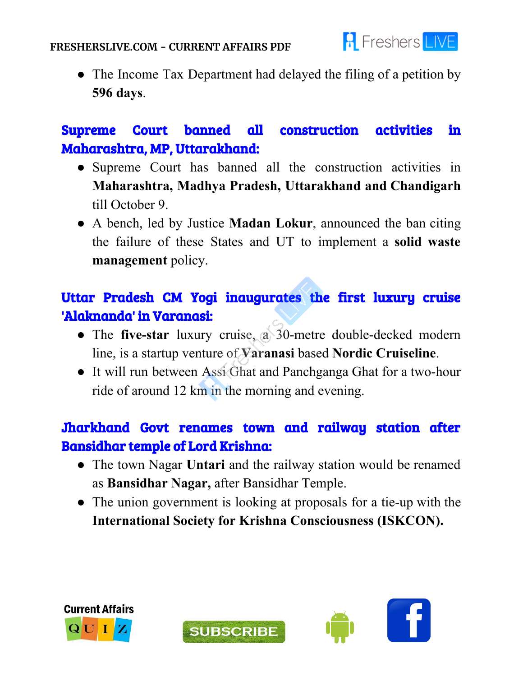

• The Income Tax Department had delayed the filing of a petition by **596 days**.

### Supreme Court banned all construction activities in Maharashtra, MP, Uttarakhand:

- Supreme Court has banned all the construction activities in **Maharashtra, Madhya Pradesh, Uttarakhand and Chandigarh** till October 9.
- A bench, led by Justice **Madan Lokur**, announced the ban citing the failure of these States and UT to implement a **solid waste management** policy.

### Uttar Pradesh CM Yogi inaugurates the first luxury cruise 'Alaknanda' in Varanasi:

- The **five-star** luxury cruise, a 30-metre double-decked modern line, is a startup venture of **Varanasi** based **Nordic Cruiseline**.
- It will run between Assi Ghat and Panchganga Ghat for a two-hour ride of around 12 km in the morning and evening.

### Jharkhand Govt renames town and railway station after Bansidhar temple of Lord Krishna:

- The town Nagar **Untari** and the railway station would be renamed as **Bansidhar Nagar,** after Bansidhar Temple.
- The union government is looking at proposals for a tie-up with the **International Society for Krishna Consciousness (ISKCON).**



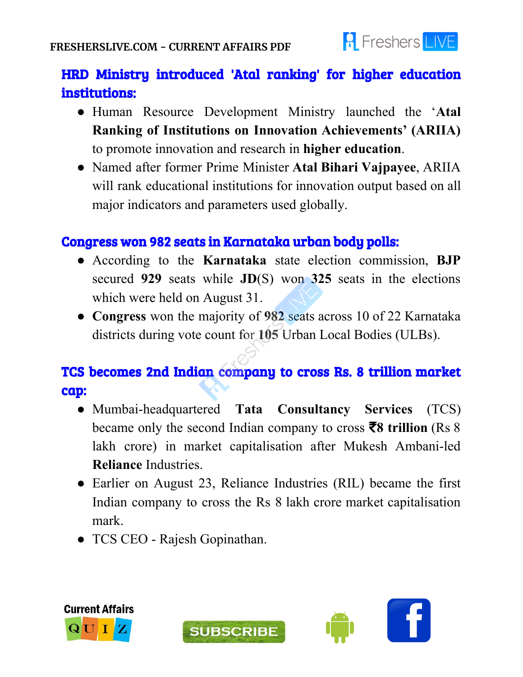

## HRD Ministry introduced 'Atal ranking' for higher education institutions:

- Human Resource Development Ministry launched the '**Atal Ranking of Institutions on Innovation Achievements' (ARIIA)** to promote innovation and research in **higher education**.
- Named after former Prime Minister **Atal Bihari Vajpayee**, ARIIA will rank educational institutions for innovation output based on all major indicators and parameters used globally.

#### Congress won 982 seats in Karnataka urban body polls:

- According to the **Karnataka** state election commission, **BJP** secured **929** seats while **JD**(S) won **325** seats in the elections which were held on August 31.
- **Congress** won the majority of **982** seats across 10 of 22 Karnataka districts during vote count for **105** Urban Local Bodies (ULBs).

### TCS becomes 2nd Indian company to cross Rs. 8 trillion market cap:

- Mumbai-headquartered **Tata Consultancy Services** (TCS) became only the second Indian company to cross ₹**8 trillion** (Rs 8 lakh crore) in market capitalisation after Mukesh Ambani-led **Reliance** Industries.
- Earlier on August 23, Reliance Industries (RIL) became the first Indian company to cross the Rs 8 lakh crore market capitalisation mark.
- TCS CEO Rajesh Gopinathan.



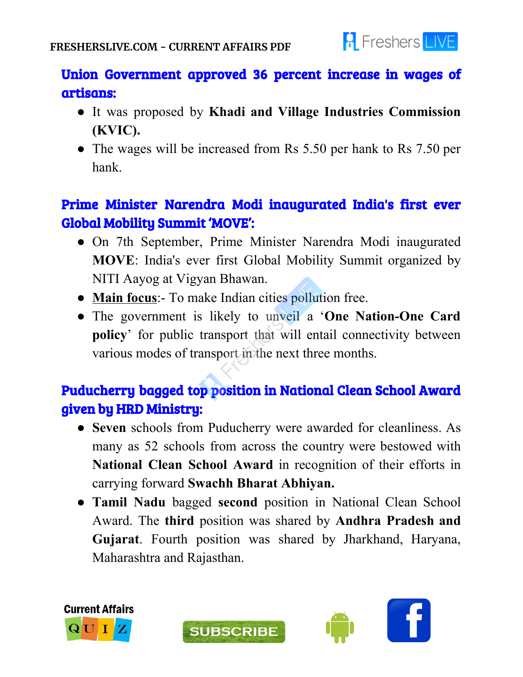

#### Union Government approved 36 percent increase in wages of artisans:

- It was proposed by **Khadi and Village Industries Commission (KVIC).**
- The wages will be increased from Rs 5.50 per hank to Rs 7.50 per hank.

### Prime Minister Narendra Modi inaugurated India's first ever Global Mobility Summit 'MOVE':

- On 7th September, Prime Minister Narendra Modi inaugurated **MOVE**: India's ever first Global Mobility Summit organized by NITI Aayog at Vigyan Bhawan.
- **Main focus**:- To make Indian cities pollution free.
- The government is likely to unveil a '**One Nation-One Card policy**' for public transport that will entail connectivity between various modes of transport in the next three months.

## Puducherry bagged top position in National Clean School Award given by HRD Ministry:

- **Seven** schools from Puducherry were awarded for cleanliness. As many as 52 schools from across the country were bestowed with **National Clean School Award** in recognition of their efforts in carrying forward **Swachh Bharat Abhiyan.**
- **Tamil Nadu** bagged **second** position in National Clean School Award. The **third** position was shared by **Andhra Pradesh and Gujarat**. Fourth position was shared by Jharkhand, Haryana, Maharashtra and Rajasthan.



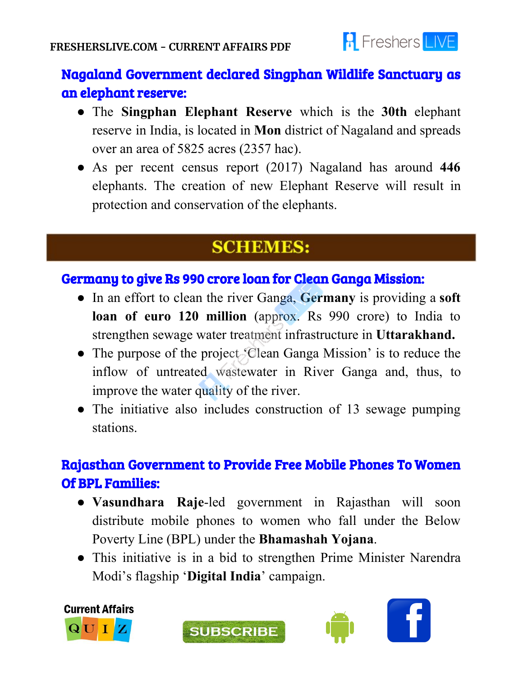

## Nagaland Government declared Singphan Wildlife Sanctuary as an elephant reserve:

- The **Singphan Elephant Reserve** which is the **30th** elephant reserve in India, is located in **Mon** district of Nagaland and spreads over an area of 5825 acres (2357 hac).
- As per recent census report (2017) Nagaland has around **446** elephants. The creation of new Elephant Reserve will result in protection and conservation of the elephants.

## **SCHEMES:**

#### Germany to give Rs 990 crore loan for Clean Ganga Mission:

- In an effort to clean the river Ganga, **Germany** is providing a **soft loan of euro 120 million** (approx. Rs 990 crore) to India to strengthen sewage water treatment infrastructure in **Uttarakhand.**
- The purpose of the project 'Clean Ganga Mission' is to reduce the inflow of untreated wastewater in River Ganga and, thus, to improve the water quality of the river.
- The initiative also includes construction of 13 sewage pumping stations.

## Rajasthan Government to Provide Free Mobile Phones To Women Of BPL Families:

- **Vasundhara Raje**-led government in Rajasthan will soon distribute mobile phones to women who fall under the Below Poverty Line (BPL) under the **Bhamashah Yojana**.
- This initiative is in a bid to strengthen Prime Minister Narendra Modi's flagship '**Digital India**' campaign.







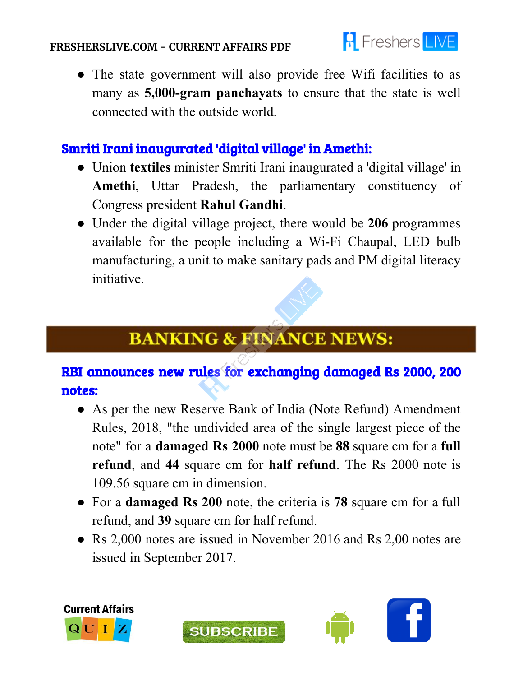

• The state government will also provide free Wifi facilities to as many as **5,000-gram panchayats** to ensure that the state is well connected with the outside world.

## Smriti Irani inaugurated 'digital village' in Amethi:

- Union **textiles** minister Smriti Irani inaugurated a 'digital village' in **Amethi**, Uttar Pradesh, the parliamentary constituency of Congress president **Rahul Gandhi**.
- Under the digital village project, there would be **206** programmes available for the people including a Wi-Fi Chaupal, LED bulb manufacturing, a unit to make sanitary pads and PM digital literacy initiative.

# **BANKING & FINANCE NEWS:**

### RBI announces new rules for exchanging damaged Rs 2000, 200 notes:

- As per the new Reserve Bank of India (Note Refund) Amendment Rules, 2018, "the undivided area of the single largest piece of the note" for a **damaged Rs 2000** note must be **88** square cm for a **full refund**, and **44** square cm for **half refund**. The Rs 2000 note is 109.56 square cm in dimension.
- For a **damaged Rs 200** note, the criteria is **78** square cm for a full refund, and **39** square cm for half refund.
- Rs 2,000 notes are issued in November 2016 and Rs 2,00 notes are issued in September 2017.



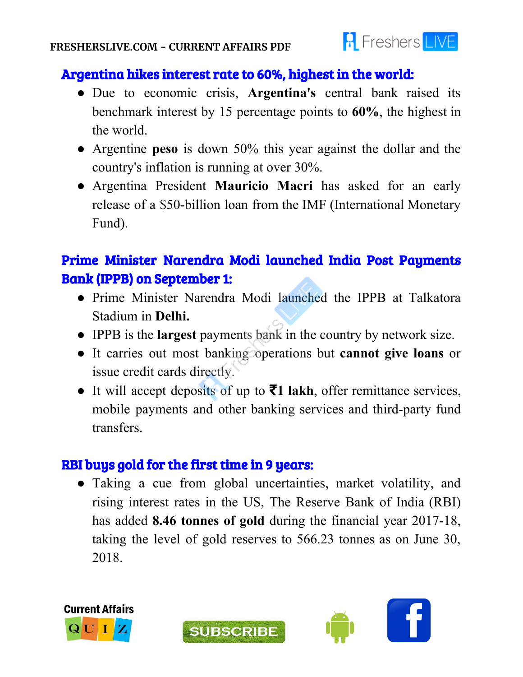

#### Argentina hikes interest rate to 60%, highest in the world:

- Due to economic crisis, **Argentina's** central bank raised its benchmark interest by 15 percentage points to **60%**, the highest in the world.
- Argentine **peso** is down 50% this year against the dollar and the country's inflation is running at over 30%.
- Argentina President **Mauricio Macri** has asked for an early release of a \$50-billion loan from the IMF (International Monetary Fund).

### Prime Minister Narendra Modi launched India Post Payments Bank (IPPB) on September 1:

- Prime Minister Narendra Modi launched the IPPB at Talkatora Stadium in **Delhi.**
- IPPB is the **largest** payments bank in the country by network size.
- It carries out most banking operations but **cannot give loans** or issue credit cards directly.
- It will accept deposits of up to ₹**1 lakh**, offer remittance services, mobile payments and other banking services and third-party fund transfers.

#### RBI buys gold for the first time in 9 years:

● Taking a cue from global uncertainties, market volatility, and rising interest rates in the US, The Reserve Bank of India (RBI) has added **8.46 tonnes of gold** during the financial year 2017-18, taking the level of gold reserves to 566.23 tonnes as on June 30, 2018.



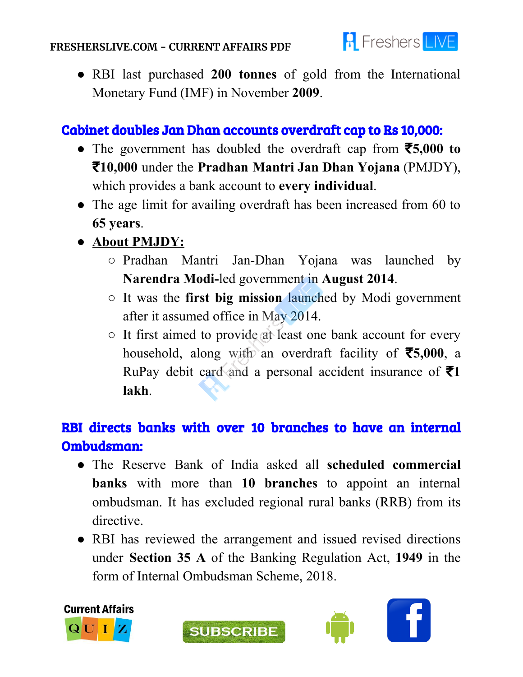

● RBI last purchased **200 tonnes** of gold from the International Monetary Fund (IMF) in November **2009**.

## Cabinet doubles Jan Dhan accounts overdraft cap to Rs 10,000:

- The government has doubled the overdraft cap from ₹**5,000 to** ₹**10,000** under the **Pradhan Mantri Jan Dhan Yojana** (PMJDY), which provides a bank account to **every individual**.
- The age limit for availing overdraft has been increased from 60 to **65 years**.
- **● About PMJDY:**
	- Pradhan Mantri Jan-Dhan Yojana was launched by **Narendra Modi-**led government in **August 2014**.
	- It was the **first big mission** launched by Modi government after it assumed office in May 2014.
	- It first aimed to provide at least one bank account for every household, along with an overdraft facility of ₹**5,000**, a RuPay debit card and a personal accident insurance of ₹**1 lakh**.

## RBI directs banks with over 10 branches to have an internal Ombudsman:

- The Reserve Bank of India asked all **scheduled commercial banks** with more than **10 branches** to appoint an internal ombudsman. It has excluded regional rural banks (RRB) from its directive.
- RBI has reviewed the arrangement and issued revised directions under **Section 35 A** of the Banking Regulation Act, **1949** in the form of Internal Ombudsman Scheme, 2018.







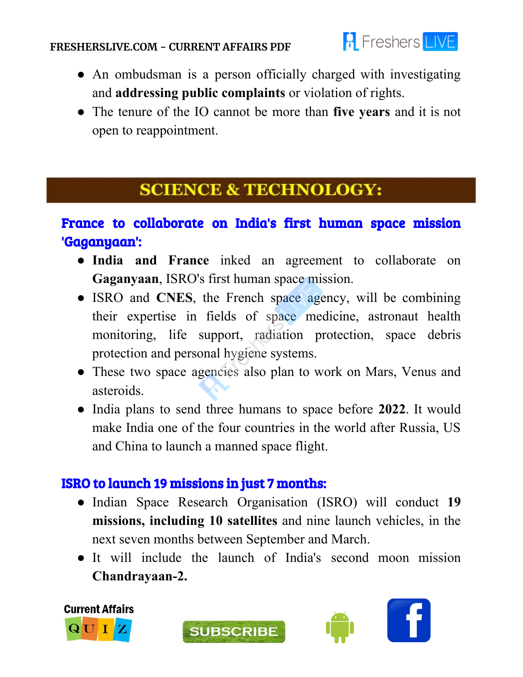

- An ombudsman is a person officially charged with investigating and **addressing public complaints** or violation of rights.
- The tenure of the IO cannot be more than **five years** and it is not open to reappointment.

## **SCIENCE & TECHNOLOGY:**

### France to collaborate on India's first human space mission 'Gaganyaan':

- **India and France** inked an agreement to collaborate on **Gaganyaan**, ISRO's first human space mission.
- ISRO and **CNES**, the French space agency, will be combining their expertise in fields of space medicine, astronaut health monitoring, life support, radiation protection, space debris protection and personal hygiene systems.
- These two space agencies also plan to work on Mars, Venus and asteroids.
- India plans to send three humans to space before **2022**. It would make India one of the four countries in the world after Russia, US and China to launch a manned space flight.

#### ISRO to launch 19 missions in just 7 months:

- Indian Space Research Organisation (ISRO) will conduct **19 missions, including 10 satellites** and nine launch vehicles, in the next seven months between September and March.
- It will include the launch of India's second moon mission **Chandrayaan-2.**





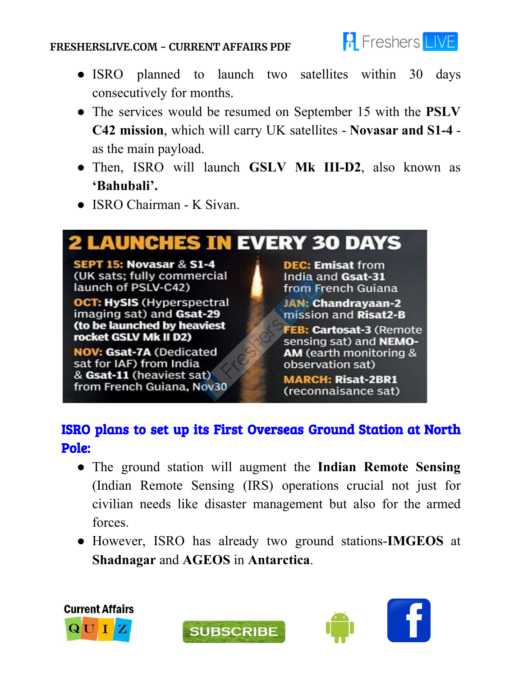

- ISRO planned to launch two satellites within 30 days consecutively for months.
- The services would be resumed on September 15 with the **PSLV C42 mission**, which will carry UK satellites - **Novasar and S1-4** as the main payload.
- Then, ISRO will launch **GSLV Mk III-D2**, also known as **'Bahubali'.**
- ISRO Chairman K Sivan.

# **AUNCHES IN EVERY 30 DAYS**

**SEPT 15: Novasar & S1-4** (UK sats; fully commercial launch of PSLV-C42)

**OCT: HySIS (Hyperspectral** imaging sat) and Gsat-29 (to be launched by heaviest rocket GSLV Mk II D2)

**NOV: Gsat-7A (Dedicated** sat for IAF) from India & Gsat-11 (heaviest sat) from French Guiana, Nov30

**DEC: Emisat from** India and Gsat-31 from French Guiana

**JAN: Chandrayaan-2** mission and Risat2-B

**FEB: Cartosat-3 (Remote** sensing sat) and NEMO-**AM** (earth monitoring & observation sat)

**MARCH: Risat-2BR1** (reconnaisance sat)

#### ISRO plans to set up its First Overseas Ground Station at North Pole:

- The ground station will augment the **Indian Remote Sensing** (Indian Remote Sensing (IRS) operations crucial not just for civilian needs like disaster management but also for the armed forces.
- However, ISRO has already two ground stations-**IMGEOS** at **Shadnagar** and **AGEOS** in **Antarctica**.



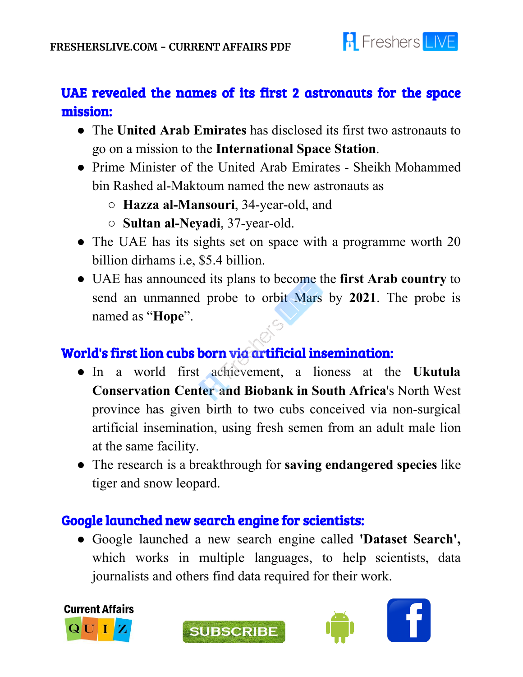## UAE revealed the names of its first 2 astronauts for the space mission:

- The **United Arab Emirates** has disclosed its first two astronauts to go on a mission to the **International Space Station**.
- Prime Minister of the United Arab Emirates Sheikh Mohammed bin Rashed al-Maktoum named the new astronauts as
	- **Hazza al-Mansouri**, 34-year-old, and
	- **Sultan al-Neyadi**, 37-year-old.
- The UAE has its sights set on space with a programme worth 20 billion dirhams i.e, \$5.4 billion.
- UAE has announced its plans to become the **first Arab country** to send an unmanned probe to orbit Mars by **2021**. The probe is named as "**Hope**".

### World's first lion cubs born via artificial insemination:

- In a world first achievement, a lioness at the **Ukutula Conservation Center and Biobank in South Africa**'s North West province has given birth to two cubs conceived via non-surgical artificial insemination, using fresh semen from an adult male lion at the same facility.
- The research is a breakthrough for **saving endangered species** like tiger and snow leopard.

#### Google launched new search engine for scientists:

● Google launched a new search engine called **'Dataset Search' ,** which works in multiple languages, to help scientists, data journalists and others find data required for their work.







**A** Freshers LIVE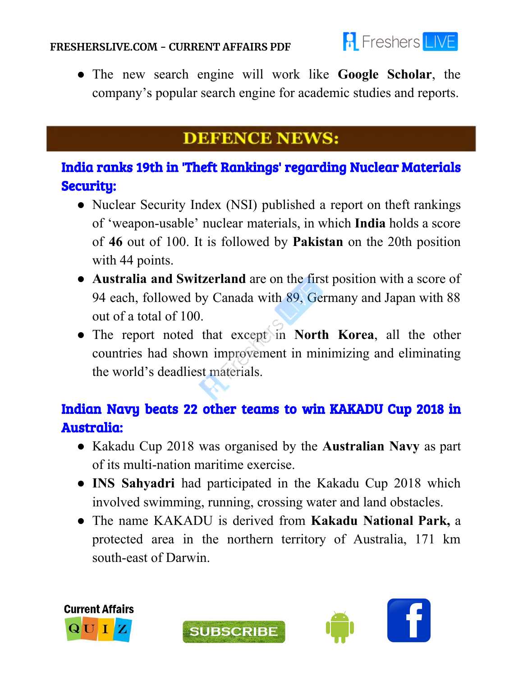

● The new search engine will work like **Google Scholar**, the company's popular search engine for academic studies and reports.

## **DEFENCE NEWS:**

## India ranks 19th in 'Theft Rankings' regarding Nuclear Materials Security:

- Nuclear Security Index (NSI) published a report on theft rankings of 'weapon-usable' nuclear materials, in which **India** holds a score of **46** out of 100. It is followed by **Pakistan** on the 20th position with 44 points.
- **Australia and Switzerland** are on the first position with a score of 94 each, followed by Canada with 89, Germany and Japan with 88 out of a total of 100.
- The report noted that except in **North Korea**, all the other countries had shown improvement in minimizing and eliminating the world's deadliest materials.

### Indian Navy beats 22 other teams to win KAKADU Cup 2018 in Australia:

- Kakadu Cup 2018 was organised by the **Australian Navy** as part of its multi-nation maritime exercise.
- **INS Sahyadri** had participated in the Kakadu Cup 2018 which involved swimming, running, crossing water and land obstacles.
- The name KAKADU is derived from **Kakadu National Park,** a protected area in the northern territory of Australia, 171 km south-east of Darwin.



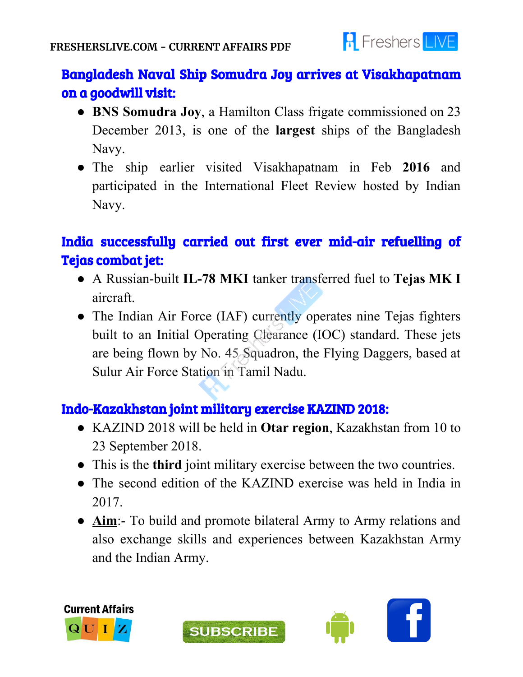

## Bangladesh Naval Ship Somudra Joy arrives at Visakhapatnam on a goodwill visit:

- **BNS Somudra Joy**, a Hamilton Class frigate commissioned on 23 December 2013, is one of the **largest** ships of the Bangladesh Navy.
- The ship earlier visited Visakhapatnam in Feb **2016** and participated in the International Fleet Review hosted by Indian Navy.

### India successfully carried out first ever mid-air refuelling of Tejas combat jet:

- A Russian-built **IL-78 MKI** tanker transferred fuel to **Tejas MK I** aircraft.
- The Indian Air Force (IAF) currently operates nine Tejas fighters built to an Initial Operating Clearance (IOC) standard. These jets are being flown by No. 45 Squadron, the Flying Daggers, based at Sulur Air Force Station in Tamil Nadu.

#### Indo-Kazakhstan joint military exercise KAZIND 2018:

- KAZIND 2018 will be held in **Otar region**, Kazakhstan from 10 to 23 September 2018.
- This is the **third** joint military exercise between the two countries.
- The second edition of the KAZIND exercise was held in India in 2017.
- **Aim**:- To build and promote bilateral Army to Army relations and also exchange skills and experiences between Kazakhstan Army and the Indian Army.



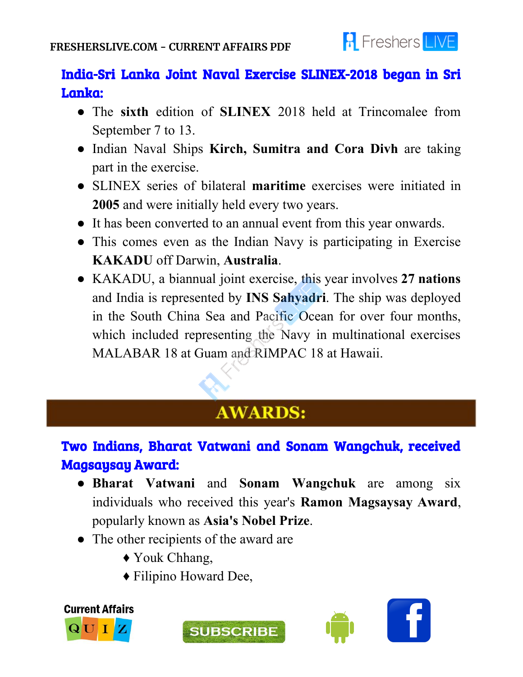

## India-Sri Lanka Joint Naval Exercise SLINEX-2018 began in Sri Lanka:

- The **sixth** edition of **SLINEX** 2018 held at Trincomalee from September 7 to 13.
- Indian Naval Ships **Kirch, Sumitra and Cora Divh** are taking part in the exercise.
- SLINEX series of bilateral **maritime** exercises were initiated in **2005** and were initially held every two years.
- It has been converted to an annual event from this year onwards.
- This comes even as the Indian Navy is participating in Exercise **KAKADU** off Darwin, **Australia**.
- KAKADU, a biannual joint exercise, this year involves **27 nations** and India is represented by **INS Sahyadri**. The ship was deployed in the South China Sea and Pacific Ocean for over four months, which included representing the Navy in multinational exercises MALABAR 18 at Guam and RIMPAC 18 at Hawaii.

# **AWARDS:**

## Two Indians, Bharat Vatwani and Sonam Wangchuk, received Magsaysay Award:

- **Bharat Vatwani** and **Sonam Wangchuk** are among six individuals who received this year's **Ramon Magsaysay Award**, popularly known as **Asia's Nobel Prize**.
- The other recipients of the award are
	- ♦ Youk Chhang,
	- ♦ Filipino Howard Dee,

**Current Affairs** 

Ĩ



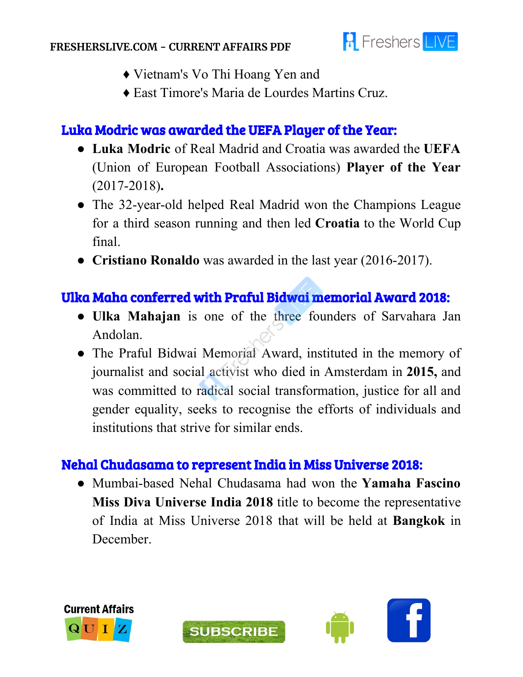

- ♦ Vietnam's Vo Thi Hoang Yen and
- ♦ East Timore's Maria de Lourdes Martins Cruz.

#### Luka Modric was awarded the UEFA Player of the Year:

- **Luka Modric** of Real Madrid and Croatia was awarded the **UEFA** (Union of European Football Associations) **Player of the Year** (2017-2018)**.**
- The 32-year-old helped Real Madrid won the Champions League for a third season running and then led **Croatia** to the World Cup final.
- **Cristiano Ronaldo** was awarded in the last year (2016-2017).

#### Ulka Maha conferred with Praful Bidwai memorial Award 2018:

- **Ulka Mahajan** is one of the three founders of Sarvahara Jan Andolan.
- The Praful Bidwai Memorial Award, instituted in the memory of journalist and social activist who died in Amsterdam in **2015,** and was committed to radical social transformation, justice for all and gender equality, seeks to recognise the efforts of individuals and institutions that strive for similar ends.

#### Nehal Chudasama to represent India in Miss Universe 2018:

● Mumbai-based Nehal Chudasama had won the **Yamaha Fascino Miss Diva Universe India 2018** title to become the representative of India at Miss Universe 2018 that will be held at **Bangkok** in December.



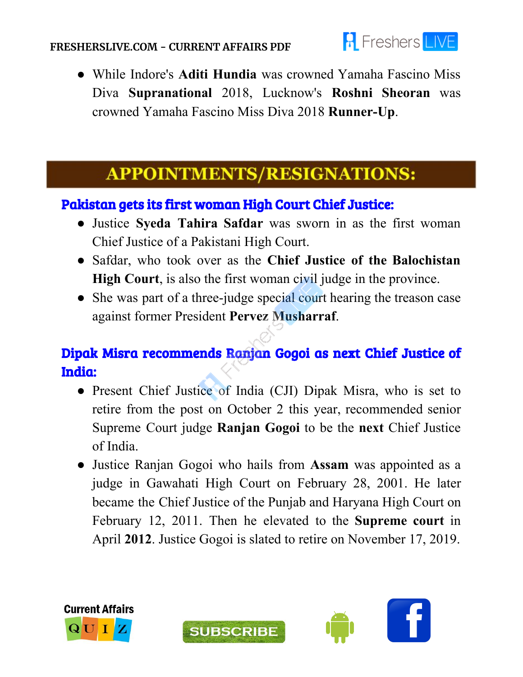

● While Indore's **Aditi Hundia** was crowned Yamaha Fascino Miss Diva **Supranational** 2018, Lucknow's **Roshni Sheoran** was crowned Yamaha Fascino Miss Diva 2018 **Runner-Up**.

# APPOINTMENTS/RESIGNATIONS:

#### Pakistan gets its first woman High Court Chief Justice:

- Justice **Syeda Tahira Safdar** was sworn in as the first woman Chief Justice of a Pakistani High Court.
- Safdar, who took over as the **Chief Justice of the Balochistan High Court**, is also the first woman civil judge in the province.
- She was part of a three-judge special court hearing the treason case against former President **Pervez Musharraf**.

### Dipak Misra recommends Ranjan Gogoi as next Chief Justice of India:

- Present Chief Justice of India (CJI) Dipak Misra, who is set to retire from the post on October 2 this year, recommended senior Supreme Court judge **Ranjan Gogoi** to be the **next** Chief Justice of India.
- Justice Ranjan Gogoi who hails from **Assam** was appointed as a judge in Gawahati High Court on February 28, 2001. He later became the Chief Justice of the Punjab and Haryana High Court on February 12, 2011. Then he elevated to the **Supreme court** in April **2012**. Justice Gogoi is slated to retire on November 17, 2019.



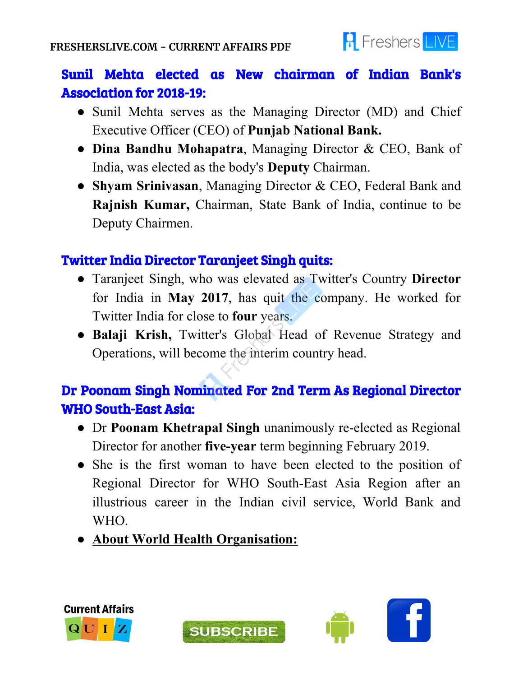

### Sunil Mehta elected as New chairman of Indian Bank's Association for 2018-19:

- Sunil Mehta serves as the Managing Director (MD) and Chief Executive Officer (CEO) of **Punjab National Bank.**
- **Dina Bandhu Mohapatra**, Managing Director & CEO, Bank of India, was elected as the body's **Deputy** Chairman.
- **Shyam Srinivasan**, Managing Director & CEO, Federal Bank and **Rajnish Kumar,** Chairman, State Bank of India, continue to be Deputy Chairmen.

#### Twitter India Director Taranjeet Singh quits:

- Taranjeet Singh, who was elevated as Twitter's Country **Director** for India in **May 2017**, has quit the company. He worked for Twitter India for close to **four** years.
- **Balaji Krish,** Twitter's Global Head of Revenue Strategy and Operations, will become the interim country head.

## Dr Poonam Singh Nominated For 2nd Term As Regional Director WHO South-East Asia:

- Dr **Poonam Khetrapal Singh** unanimously re-elected as Regional Director for another **five-year** term beginning February 2019.
- She is the first woman to have been elected to the position of Regional Director for WHO South-East Asia Region after an illustrious career in the Indian civil service, World Bank and WHO.
- **● About World Health Organisation:**



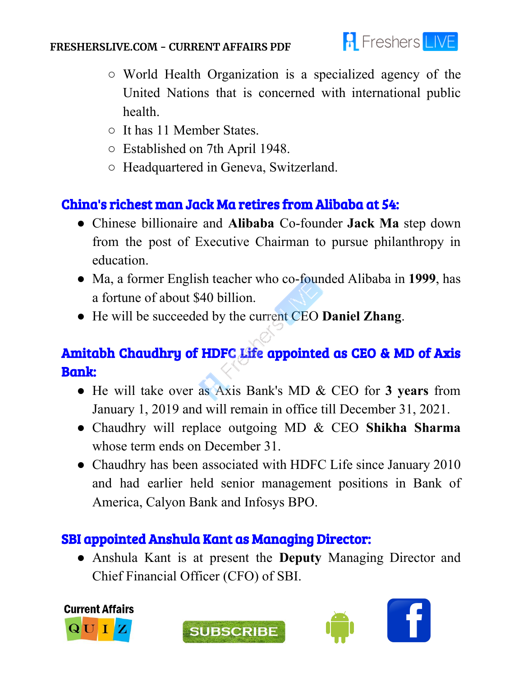

- World Health Organization is a specialized agency of the United Nations that is concerned with international public health.
- It has 11 Member States.
- Established on 7th April 1948.
- Headquartered in Geneva, Switzerland.

### China's richest man Jack Ma retires from Alibaba at 54:

- Chinese billionaire and **Alibaba** Co-founder **Jack Ma** step down from the post of Executive Chairman to pursue philanthropy in education.
- Ma, a former English teacher who co-founded Alibaba in **1999**, has a fortune of about \$40 billion.
- He will be succeeded by the current CEO **Daniel Zhang**.

## Amitabh Chaudhry of HDFC Life appointed as CEO & MD of Axis Bank:

- He will take over as Axis Bank's MD & CEO for **3 years** from January 1, 2019 and will remain in office till December 31, 2021.
- Chaudhry will replace outgoing MD & CEO **Shikha Sharma** whose term ends on December 31.
- Chaudhry has been associated with HDFC Life since January 2010 and had earlier held senior management positions in Bank of America, Calyon Bank and Infosys BPO.

#### SBI appointed Anshula Kant as Managing Director:

● Anshula Kant is at present the **Deputy** Managing Director and Chief Financial Officer (CFO) of SBI.







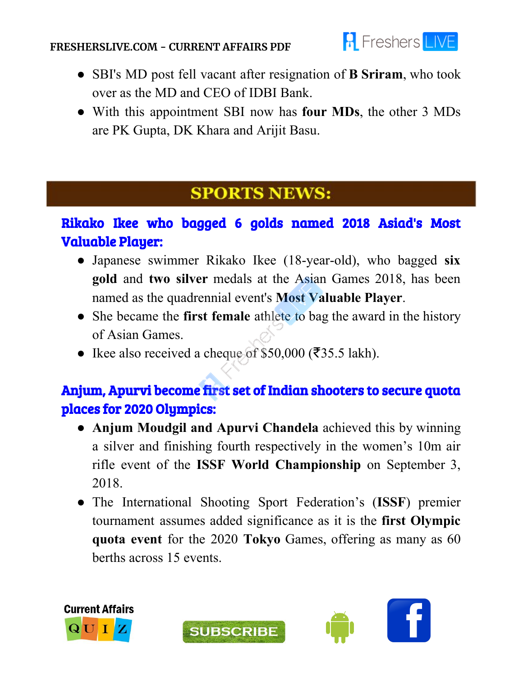

- SBI's MD post fell vacant after resignation of **B Sriram**, who took over as the MD and CEO of IDBI Bank.
- With this appointment SBI now has **four MDs**, the other 3 MDs are PK Gupta, DK Khara and Arijit Basu.

# **SPORTS NEWS:**

## Rikako Ikee who bagged 6 golds named 2018 Asiad's Most Valuable Player:

- Japanese swimmer Rikako Ikee (18-year-old), who bagged **six gold** and **two silver** medals at the Asian Games 2018, has been named as the quadrennial event's **Most Valuable Player**.
- She became the **first female** athlete to bag the award in the history of Asian Games.
- Ikee also received a cheque of \$50,000 (₹35.5 lakh).

### Anjum, Apurvi become first set of Indian shooters to secure quota places for 2020 Olympics:

- **Anjum Moudgil and Apurvi Chandela** achieved this by winning a silver and finishing fourth respectively in the women's 10m air rifle event of the **ISSF World Championship** on September 3, 2018.
- The International Shooting Sport Federation's (**ISSF**) premier tournament assumes added significance as it is the **first Olympic quota event** for the 2020 **Tokyo** Games, offering as many as 60 berths across 15 events.



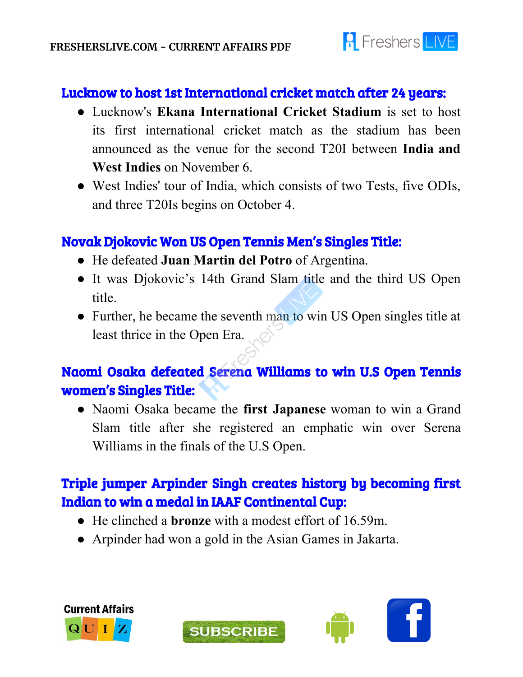

#### Lucknow to host 1st International cricket match after 24 years:

- Lucknow's **Ekana International Cricket Stadium** is set to host its first international cricket match as the stadium has been announced as the venue for the second T20I between **India and West Indies** on November 6.
- West Indies' tour of India, which consists of two Tests, five ODIs, and three T20Is begins on October 4.

#### Novak Djokovic Won US Open Tennis Men's Singles Title:

- He defeated **Juan Martin del Potro** of Argentina.
- It was Djokovic's 14th Grand Slam title and the third US Open title.
- Further, he became the seventh man to win US Open singles title at least thrice in the Open Era.

## Naomi Osaka defeated Serena Williams to win U.S Open Tennis women's Singles Title:

● Naomi Osaka became the **first Japanese** woman to win a Grand Slam title after she registered an emphatic win over Serena Williams in the finals of the U.S Open.

### Triple jumper Arpinder Singh creates history by becoming first Indian to win a medal in IAAF Continental Cup:

- He clinched a **bronze** with a modest effort of 16.59m.
- Arpinder had won a gold in the Asian Games in Jakarta.





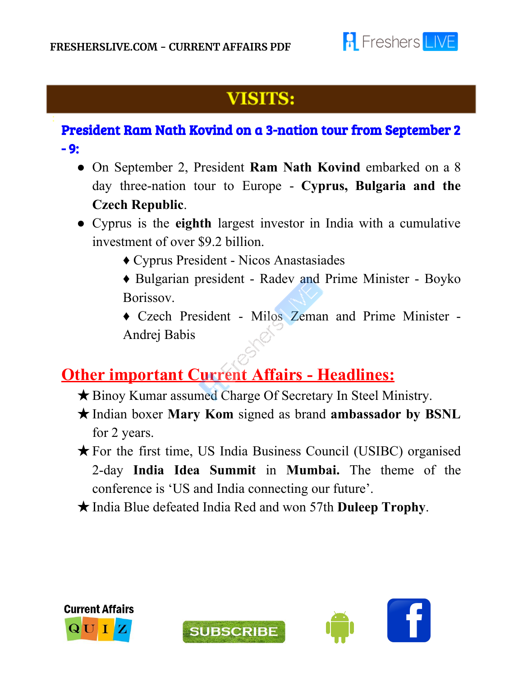

# **VISITS:**

#### President Ram Nath Kovind on a 3-nation tour from September 2 - 9:

- On September 2, President **Ram Nath Kovind** embarked on a 8 day three-nation tour to Europe - **Cyprus, Bulgaria and the Czech Republic**.
- Cyprus is the **eighth** largest investor in India with a cumulative investment of over \$9.2 billion.
	- ♦ Cyprus President Nicos Anastasiades
	- ♦ Bulgarian president Radev and Prime Minister Boyko Borissov.
	- ♦ Czech President Milos Zeman and Prime Minister Andrej Babis

# **Other important Current Affairs - Headlines:**

- ★Binoy Kumar assumed Charge Of Secretary In Steel Ministry.
- ★Indian boxer **Mary Kom** signed as brand **ambassador by BSNL** for 2 years.
- ★For the first time, US India Business Council (USIBC) organised 2-day **India Idea Summit** in **Mumbai.** The theme of the conference is 'US and India connecting our future'.
- ★India Blue defeated India Red and won 57th **Duleep Trophy**.





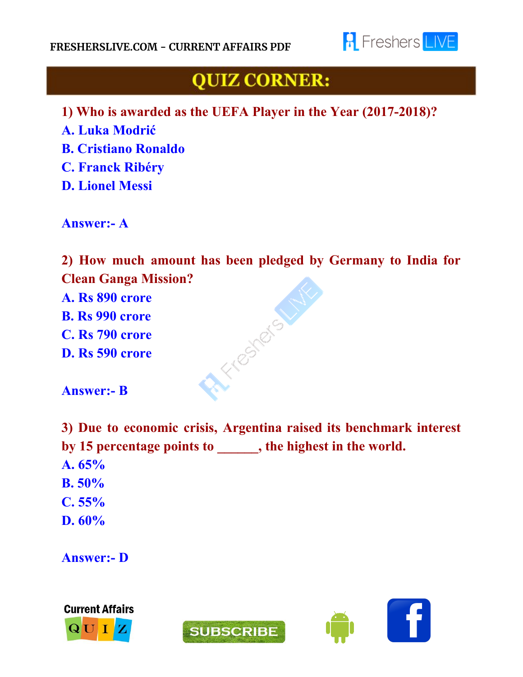

# **QUIZ CORNER:**

- **1) Who is awarded as the UEFA Player in the Year (2017-2018)?**
- **A. Luka Modrić**
- **B. Cristiano Ronaldo**
- **C. Franck Ribéry**
- **D. Lionel Messi**

**Answer:- A**

**2) How much amount has been pledged by Germany to India for Clean Ganga Mission?**

Freshers

**A. Rs 890 crore**

**B. Rs 990 crore**

**C. Rs 790 crore**

**D. Rs 590 crore**

**Answer:- B**

**3) Due to economic crisis, Argentina raised its benchmark interest by 15 percentage points to \_\_\_\_\_\_, the highest in the world. A. 65% B. 50% C. 55% D. 60%**

**Answer:- D**





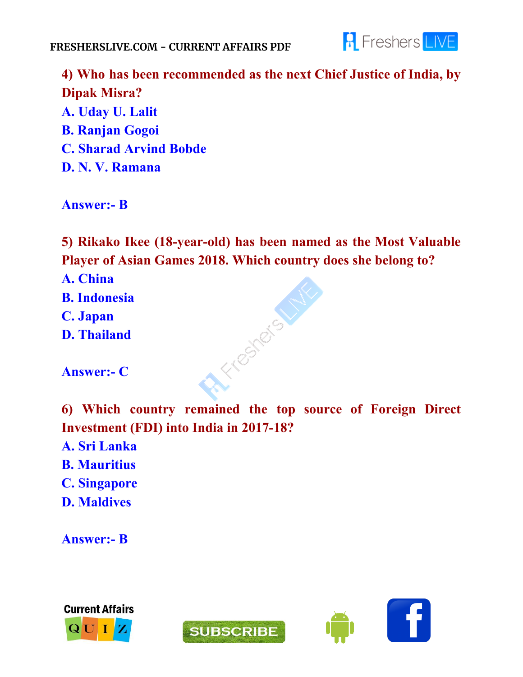

**4) Who has been recommended as the next Chief Justice of India, by Dipak Misra? A. Uday U. Lalit B. Ranjan Gogoi C. Sharad Arvind Bobde D. N. V. Ramana**

**Answer:- B**

**5) Rikako Ikee (18-year-old) has been named as the Most Valuable Player of Asian Games 2018. Which country does she belong to?**

Fresheis Life

**A. China**

- **B. Indonesia**
- **C. Japan**
- **D. Thailand**

**Answer:- C**

**6) Which country remained the top source of Foreign Direct Investment (FDI) into India in 2017-18?**

- **A. Sri Lanka**
- **B. Mauritius**
- **C. Singapore**
- **D. Maldives**

**Answer:- B**







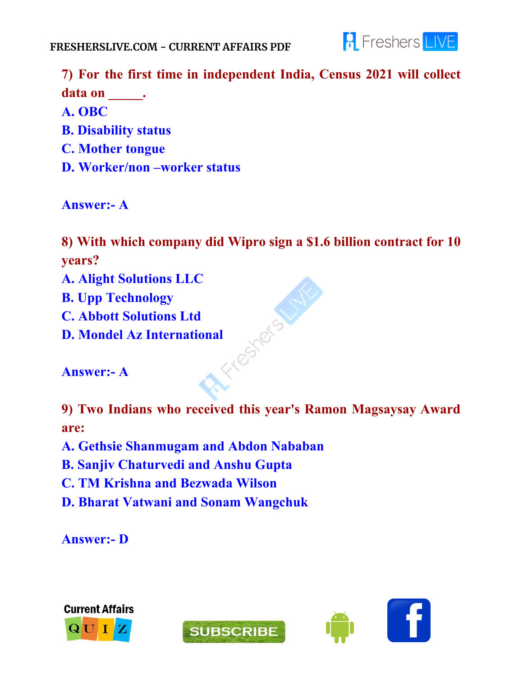

**7) For the first time in independent India, Census 2021 will collect data on \_\_\_\_\_.**

**A. OBC**

**B. Disability status**

- **C. Mother tongue**
- **D. Worker/non –worker status**

**Answer:- A**

**8) With which company did Wipro sign a \$1.6 billion contract for 10 years?**

- **A. Alight Solutions LLC**
- **B. Upp Technology**
- **C. Abbott Solutions Ltd**
- **D. Mondel Az International**

**Answer:- A**

**9) Two Indians who received this year's Ramon Magsaysay Award are:**

**A. Gethsie Shanmugam and Abdon Nababan**

**B. Sanjiv Chaturvedi and Anshu Gupta**

- **C. TM Krishna and Bezwada Wilson**
- **D. Bharat Vatwani and Sonam Wangchuk**

**Answer:- D**







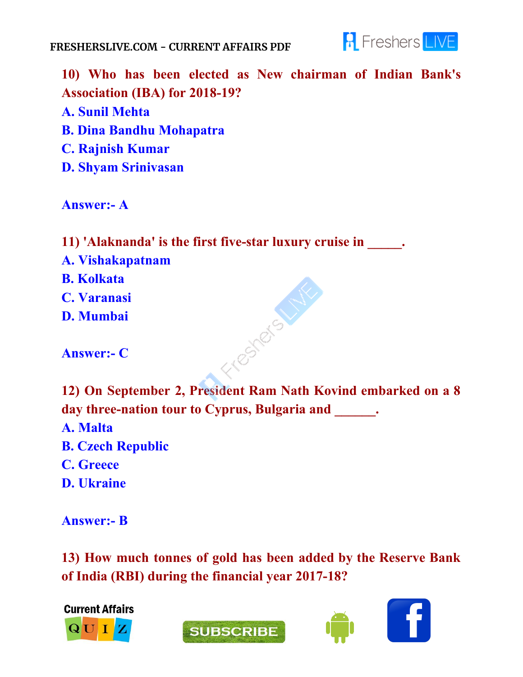

**10) Who has been elected as New chairman of Indian Bank's Association (IBA) for 2018-19? A. Sunil Mehta B. Dina Bandhu Mohapatra C. Rajnish Kumar D. Shyam Srinivasan**

**Answer:- A**

**11) 'Alaknanda' is the first five-star luxury cruise in \_\_\_\_\_.**

- **A. Vishakapatnam**
- **B. Kolkata**
- **C. Varanasi**
- **D. Mumbai**

**Answer:- C**

Freshers Lyn **12) On September 2, President Ram Nath Kovind embarked on a 8 day three-nation tour to Cyprus, Bulgaria and \_\_\_\_\_\_. A. Malta B. Czech Republic C. Greece D. Ukraine**

**Answer:- B**

**13) How much tonnes of gold has been added by the Reserve Bank of India (RBI) during the financial year 2017-18?**







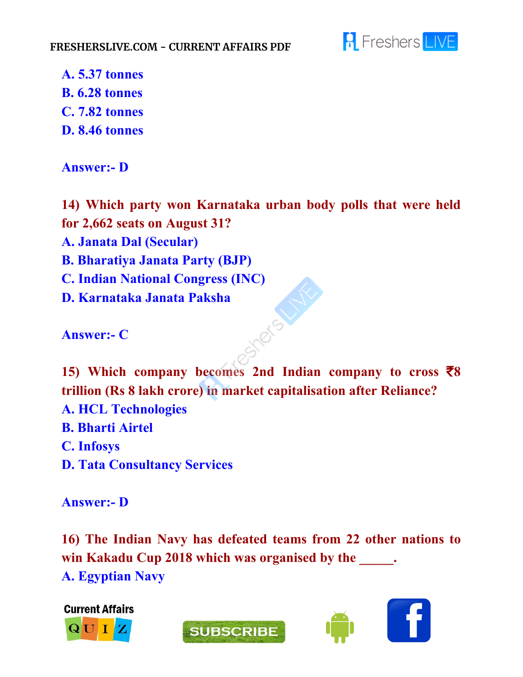

**A. 5.37 tonnes B. 6.28 tonnes C. 7.82 tonnes D. 8.46 tonnes**

**Answer:- D**

**14) Which party won Karnataka urban body polls that were held for 2,662 seats on August 31? A. Janata Dal (Secular) B. Bharatiya Janata Party (BJP) C. Indian National Congress (INC)** RefSLY **D. Karnataka Janata Paksha**

**Answer:- C**

**15) Which company becomes 2nd Indian company to cross** ₹**8 trillion (Rs 8 lakh crore) in market capitalisation after Reliance? A. HCL Technologies B. Bharti Airtel C. Infosys D. Tata Consultancy Services**

**Answer:- D**

**16) The Indian Navy has defeated teams from 22 other nations to win Kakadu Cup 2018 which was organised by the \_\_\_\_\_. A. Egyptian Navy**

**Current Affairs QUI** 





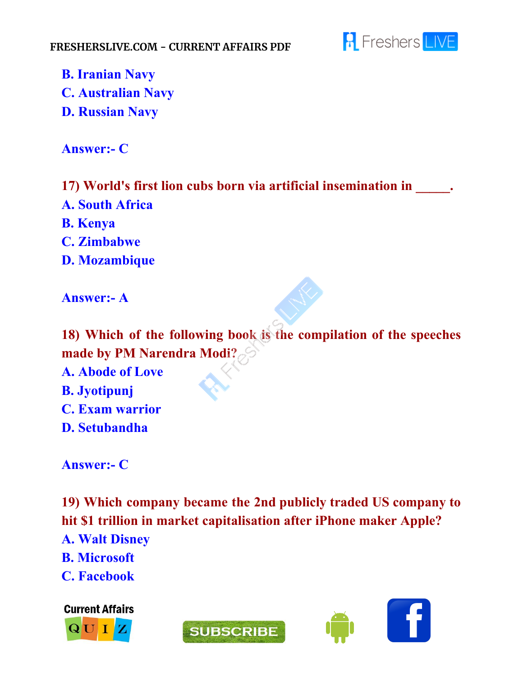



**B. Iranian Navy C. Australian Navy D. Russian Navy**

**Answer:- C**

**17) World's first lion cubs born via artificial insemination in \_\_\_\_\_. A. South Africa B. Kenya**

**C. Zimbabwe**

**D. Mozambique**

**Answer:- A**

**18) Which of the following book is the compilation of the speeches made by PM Narendra Modi?**

**A. Abode of Love B. Jyotipunj C. Exam warrior D. Setubandha**

**Answer:- C**

**19) Which company became the 2nd publicly traded US company to hit \$1 trillion in market capitalisation after iPhone maker Apple? A. Walt Disney B. Microsoft C. Facebook**

**Current Affairs** QUI



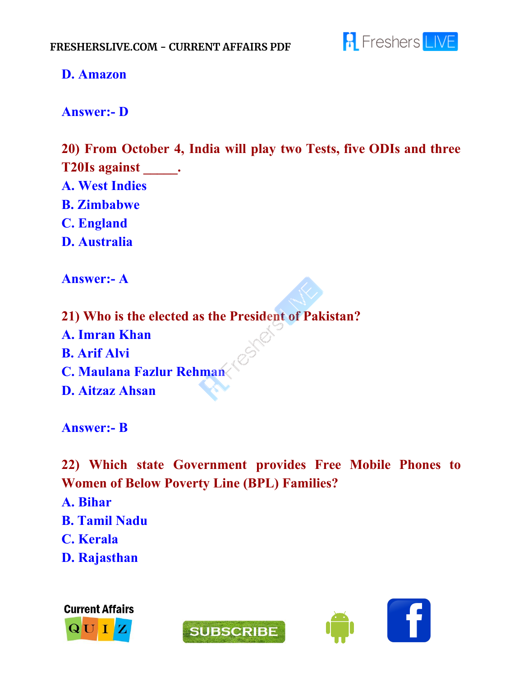

**D. Amazon**

**Answer:- D**

**20) From October 4, India will play two Tests, five ODIs and three T20Is against \_\_\_\_\_. A. West Indies B. Zimbabwe C. England D. Australia**

**Answer:- A**

**21) Who is the elected as the President of Pakistan?**

- **A. Imran Khan**
- **B. Arif Alvi**

**C. Maulana Fazlur Rehman**

**D. Aitzaz Ahsan**

**Answer:- B**

**22) Which state Government provides Free Mobile Phones to Women of Below Poverty Line (BPL) Families?**

- **A. Bihar**
- **B. Tamil Nadu**
- **C. Kerala**
- **D. Rajasthan**







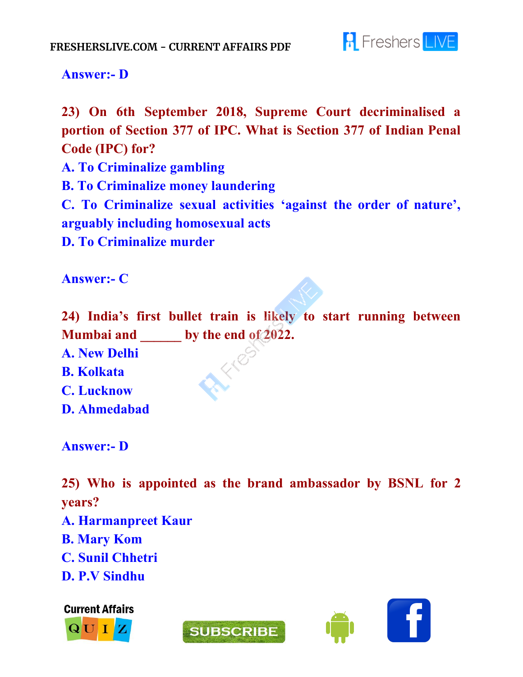

#### **Answer:- D**

**23) On 6th September 2018, Supreme Court decriminalised a portion of Section 377 of IPC. What is Section 377 of Indian Penal Code (IPC) for?**

**A. To Criminalize gambling**

**B. To Criminalize money laundering**

**C. To Criminalize sexual activities 'against the order of nature' , arguably including homosexual acts**

**D. To Criminalize murder**

**Answer:- C**

**24) India's first bullet train is likely to start running between Mumbai and \_\_\_\_\_\_ by the end of 2022.**

**A. New Delhi**

- **B. Kolkata**
- **C. Lucknow**

**D. Ahmedabad**

**Answer:- D**

**25) Who is appointed as the brand ambassador by BSNL for 2 years?**

- **A. Harmanpreet Kaur**
- **B. Mary Kom**
- **C. Sunil Chhetri**
- **D. P.V Sindhu**



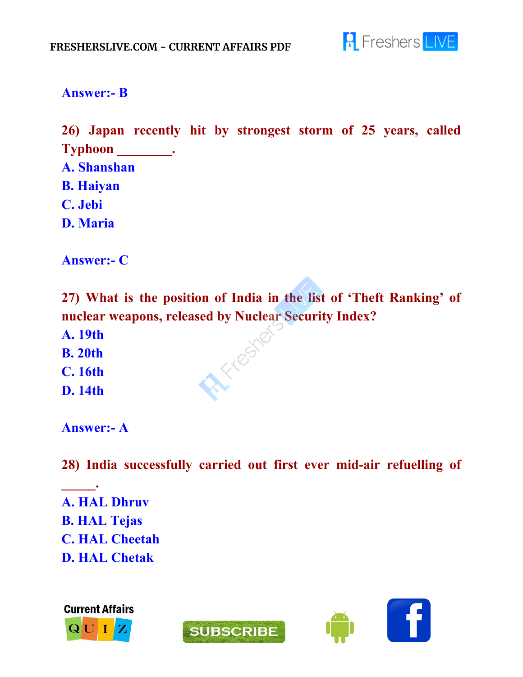

**Answer:- B**

**26) Japan recently hit by strongest storm of 25 years, called Typhoon \_\_\_\_\_\_\_\_.**

- **A. Shanshan**
- **B. Haiyan**
- **C. Jebi**
- **D. Maria**

**Answer:- C**

**27) What is the position of India in the list of 'Theft Ranking' of nuclear weapons, released by Nuclear Security Index?**

Freshe

- **A. 19th**
- **B. 20th**
- **C. 16th**
- **D. 14th**

**\_\_\_\_\_.**

**Answer:- A**

**28) India successfully carried out first ever mid-air refuelling of**

**A. HAL Dhruv B. HAL Tejas C. HAL Cheetah D. HAL Chetak**





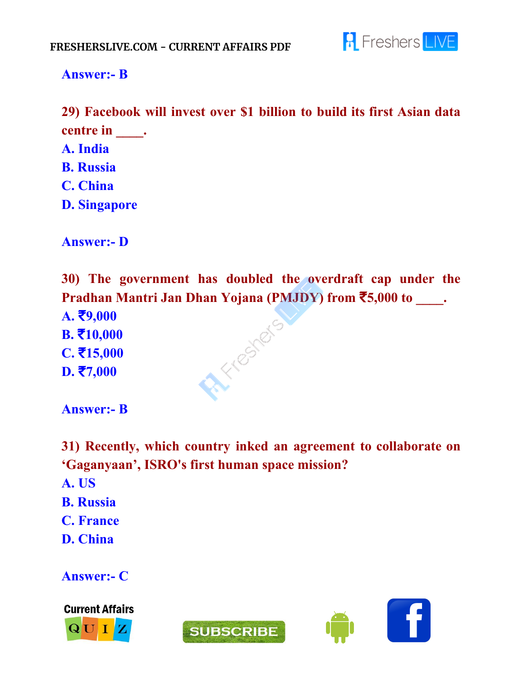

#### **Answer:- B**

**29) Facebook will invest over \$1 billion to build its first Asian data centre in** \_\_\_\_.

- **A. India**
- **B. Russia**
- **C. China**
- **D. Singapore**

**Answer:- D**

**30) The government has doubled the overdraft cap under the Pradhan Mantri Jan Dhan Yojana (PMJDY) from** ₹**5,000 to \_\_\_\_.**

Friesters

**A.** ₹**9,000 B.** ₹**10,000 C.** ₹**15,000 D.** ₹**7,000**

**Answer:- B**

**31) Recently, which country inked an agreement to collaborate on 'Gaganyaan' , ISRO's first human space mission? A. US B. Russia**

- 
- **C. France**
- **D. China**

**Answer:- C**

**Current Affairs** QUI



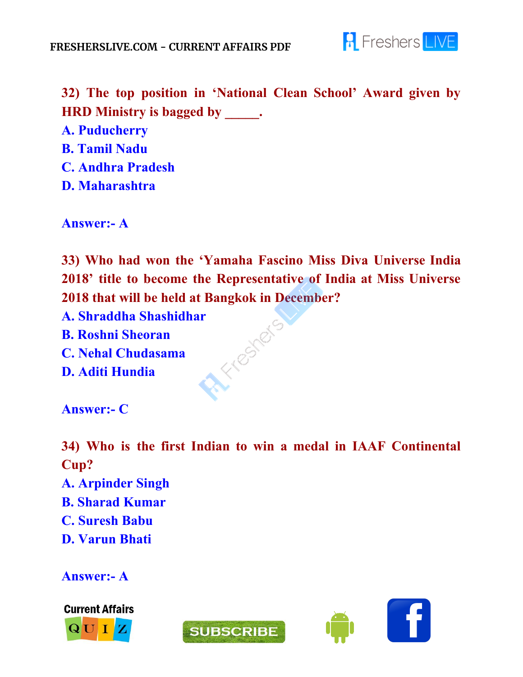

**32) The top position in 'National Clean School' Award given by HRD Ministry is bagged by \_\_\_\_\_. A. Puducherry B. Tamil Nadu C. Andhra Pradesh D. Maharashtra**

**Answer:- A**

**33) Who had won the 'Yamaha Fascino Miss Diva Universe India 2018' title to become the Representative of India at Miss Universe 2018 that will be held at Bangkok in December?**

Fresher

- **A. Shraddha Shashidhar**
- **B. Roshni Sheoran**
- **C. Nehal Chudasama**
- **D. Aditi Hundia**

**Answer:- C**

**34) Who is the first Indian to win a medal in IAAF Continental Cup?**

- **A. Arpinder Singh**
- **B. Sharad Kumar**
- **C. Suresh Babu**
- **D. Varun Bhati**

**Answer:- A**